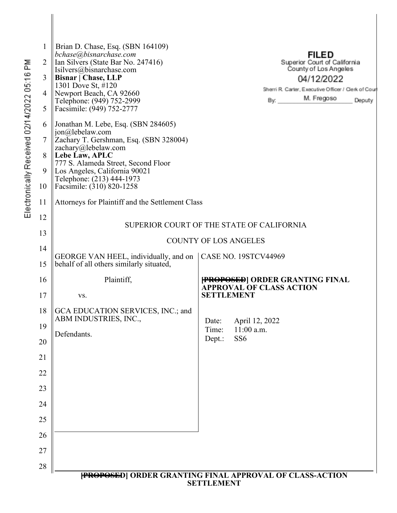| 1  | Brian D. Chase, Esq. (SBN 164109)                                                 |                                                                                    |
|----|-----------------------------------------------------------------------------------|------------------------------------------------------------------------------------|
| 2  | bchase@bisnarchase.com<br>Ian Silvers (State Bar No. 247416)                      | <b>FILED</b><br>Superior Court of California                                       |
| 3  | Isilvers@bisnarchase.com<br><b>Bisnar   Chase, LLP</b>                            | County of Los Angeles                                                              |
|    | 1301 Dove St, #120                                                                | 04/12/2022<br>Sherri R. Carter, Executive Officer / Clerk of Cour                  |
| 4  | Newport Beach, CA 92660<br>Telephone: (949) 752-2999                              | M. Fregoso<br>Bv:<br>Deputy                                                        |
| 5  | Facsimile: (949) 752-2777                                                         |                                                                                    |
| 6  | Jonathan M. Lebe, Esq. (SBN 284605)<br>jon@lebelaw.com                            |                                                                                    |
| 7  | Zachary T. Gershman, Esq. (SBN 328004)<br>zachary@lebelaw.com                     |                                                                                    |
| 8  | Lebe Law, APLC<br>777 S. Alameda Street, Second Floor                             |                                                                                    |
| 9  | Los Angeles, California 90021                                                     |                                                                                    |
| 10 | Telephone: (213) 444-1973<br>Facsimile: (310) 820-1258                            |                                                                                    |
| 11 | Attorneys for Plaintiff and the Settlement Class                                  |                                                                                    |
| 12 |                                                                                   | SUPERIOR COURT OF THE STATE OF CALIFORNIA                                          |
| 13 |                                                                                   |                                                                                    |
| 14 |                                                                                   | <b>COUNTY OF LOS ANGELES</b>                                                       |
| 15 | GEORGE VAN HEEL, individually, and on<br>behalf of all others similarly situated, | CASE NO. 19STCV44969                                                               |
| 16 | Plaintiff,                                                                        | <b>[PROPOSED] ORDER GRANTING FINAL</b><br><b>APPROVAL OF CLASS ACTION</b>          |
| 17 | VS.                                                                               | <b>SETTLEMENT</b>                                                                  |
| 18 | GCA EDUCATION SERVICES, INC.; and                                                 |                                                                                    |
| 19 | ABM INDUSTRIES, INC.,                                                             | April 12, 2022<br>Date:<br>11:00 a.m.<br>Time:                                     |
| 20 | Defendants.                                                                       | SS <sub>6</sub><br>Dept.:                                                          |
| 21 |                                                                                   |                                                                                    |
| 22 |                                                                                   |                                                                                    |
| 23 |                                                                                   |                                                                                    |
| 24 |                                                                                   |                                                                                    |
| 25 |                                                                                   |                                                                                    |
| 26 |                                                                                   |                                                                                    |
| 27 |                                                                                   |                                                                                    |
| 28 |                                                                                   |                                                                                    |
|    |                                                                                   | <b>FROPOSED</b> ORDER GRANTING FINAL APPROVAL OF CLASS-ACTION<br><b>SETTLEMENT</b> |

Electronically Received 02/14/2022 05:16 PM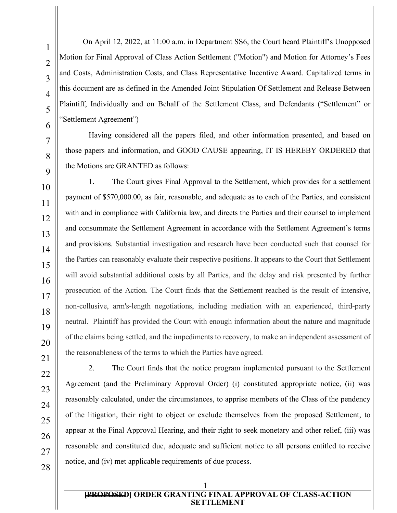1

 $\mathcal{D}_{\mathcal{L}}$ 

On April 12, 2022, at 11:00 a.m. in Department SS6, the Court heard Plaintiff's Unopposed Motion for Final Approval of Class Action Settlement ("Motion") and Motion for Attorney's Fees and Costs, Administration Costs, and Class Representative Incentive Award. Capitalized terms in this document are as defined in the Amended Joint Stipulation Of Settlement and Release Between Plaintiff, Individually and on Behalf of the Settlement Class, and Defendants ("Settlement" or "Settlement Agreement")

Having considered all the papers filed, and other information presented, and based on those papers and information, and GOOD CAUSE appearing, IT IS HEREBY ORDERED that the Motions are GRANTED as follows:

1. The Court gives Final Approval to the Settlement, which provides for a settlement payment of \$570,000.00, as fair, reasonable, and adequate as to each of the Parties, and consistent with and in compliance with California law, and directs the Parties and their counsel to implement and consummate the Settlement Agreement in accordance with the Settlement Agreement's terms and provisions. Substantial investigation and research have been conducted such that counsel for the Parties can reasonably evaluate their respective positions. It appears to the Court that Settlement will avoid substantial additional costs by all Parties, and the delay and risk presented by further prosecution of the Action. The Court finds that the Settlement reached is the result of intensive, non-collusive, arm's-length negotiations, including mediation with an experienced, third-party neutral. Plaintiff has provided the Court with enough information about the nature and magnitude of the claims being settled, and the impediments to recovery, to make an independent assessment of the reasonableness of the terms to which the Parties have agreed.

2. The Court finds that the notice program implemented pursuant to the Settlement Agreement (and the Preliminary Approval Order) (i) constituted appropriate notice, (ii) was reasonably calculated, under the circumstances, to apprise members of the Class of the pendency of the litigation, their right to object or exclude themselves from the proposed Settlement, to appear at the Final Approval Hearing, and their right to seek monetary and other relief, (iii) was reasonable and constituted due, adequate and sufficient notice to all persons entitled to receive notice, and (iv) met applicable requirements of due process.

## **[PROPOSED] ORDER GRANTING FINAL APPROVAL OF CLASS-ACTION SETTLEMENT**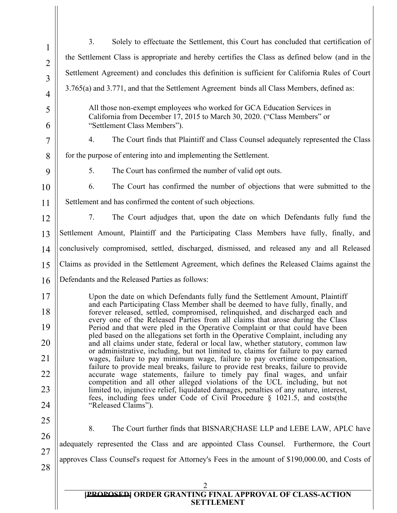|                | 3.<br>Solely to effectuate the Settlement, this Court has concluded that certification of                                                                                                                                                                                                                                                                                                                                                                                                                                                                                                  |  |
|----------------|--------------------------------------------------------------------------------------------------------------------------------------------------------------------------------------------------------------------------------------------------------------------------------------------------------------------------------------------------------------------------------------------------------------------------------------------------------------------------------------------------------------------------------------------------------------------------------------------|--|
| $\mathbf{1}$   | the Settlement Class is appropriate and hereby certifies the Class as defined below (and in the                                                                                                                                                                                                                                                                                                                                                                                                                                                                                            |  |
| $\overline{2}$ | Settlement Agreement) and concludes this definition is sufficient for California Rules of Court                                                                                                                                                                                                                                                                                                                                                                                                                                                                                            |  |
| 3              | 3.765(a) and 3.771, and that the Settlement Agreement binds all Class Members, defined as:                                                                                                                                                                                                                                                                                                                                                                                                                                                                                                 |  |
| 4              | All those non-exempt employees who worked for GCA Education Services in                                                                                                                                                                                                                                                                                                                                                                                                                                                                                                                    |  |
| 5<br>6         | California from December 17, 2015 to March 30, 2020. ("Class Members" or<br>"Settlement Class Members").                                                                                                                                                                                                                                                                                                                                                                                                                                                                                   |  |
| 7              | The Court finds that Plaintiff and Class Counsel adequately represented the Class<br>4.                                                                                                                                                                                                                                                                                                                                                                                                                                                                                                    |  |
| 8              | for the purpose of entering into and implementing the Settlement.                                                                                                                                                                                                                                                                                                                                                                                                                                                                                                                          |  |
| 9              | 5.<br>The Court has confirmed the number of valid opt outs.                                                                                                                                                                                                                                                                                                                                                                                                                                                                                                                                |  |
| 10             | The Court has confirmed the number of objections that were submitted to the<br>6.                                                                                                                                                                                                                                                                                                                                                                                                                                                                                                          |  |
| 11             | Settlement and has confirmed the content of such objections.                                                                                                                                                                                                                                                                                                                                                                                                                                                                                                                               |  |
| 12             | 7.<br>The Court adjudges that, upon the date on which Defendants fully fund the                                                                                                                                                                                                                                                                                                                                                                                                                                                                                                            |  |
| 13             | Settlement Amount, Plaintiff and the Participating Class Members have fully, finally, and                                                                                                                                                                                                                                                                                                                                                                                                                                                                                                  |  |
| 14             | conclusively compromised, settled, discharged, dismissed, and released any and all Released                                                                                                                                                                                                                                                                                                                                                                                                                                                                                                |  |
| 15             | Claims as provided in the Settlement Agreement, which defines the Released Claims against the                                                                                                                                                                                                                                                                                                                                                                                                                                                                                              |  |
| 16             | Defendants and the Released Parties as follows:                                                                                                                                                                                                                                                                                                                                                                                                                                                                                                                                            |  |
| 17             | Upon the date on which Defendants fully fund the Settlement Amount, Plaintiff<br>and each Participating Class Member shall be deemed to have fully, finally, and<br>forever released, settled, compromised, relinquished, and discharged each and<br>every one of the Released Parties from all claims that arose during the Class<br>Period and that were pled in the Operative Complaint or that could have been<br>pled based on the allegations set forth in the Operative Complaint, including any<br>and all claims under state, federal or local law, whether statutory, common law |  |
| 18             |                                                                                                                                                                                                                                                                                                                                                                                                                                                                                                                                                                                            |  |
| 19             |                                                                                                                                                                                                                                                                                                                                                                                                                                                                                                                                                                                            |  |
| 20             |                                                                                                                                                                                                                                                                                                                                                                                                                                                                                                                                                                                            |  |
| 21             | or administrative, including, but not limited to, claims for failure to pay earned<br>wages, failure to pay minimum wage, failure to pay overtime compensation,                                                                                                                                                                                                                                                                                                                                                                                                                            |  |
| 22             | failure to provide meal breaks, failure to provide rest breaks, failure to provide<br>accurate wage statements, failure to timely pay final wages, and unfair                                                                                                                                                                                                                                                                                                                                                                                                                              |  |
| 23             | competition and all other alleged violations of the UCL including, but not<br>limited to, injunctive relief, liquidated damages, penalties of any nature, interest,<br>fees, including fees under Code of Civil Procedure $\S$ 1021.5, and costs (the                                                                                                                                                                                                                                                                                                                                      |  |
| 24             | "Released Claims").                                                                                                                                                                                                                                                                                                                                                                                                                                                                                                                                                                        |  |
| 25             | 8.<br>The Court further finds that BISNAR CHASE LLP and LEBE LAW, APLC have                                                                                                                                                                                                                                                                                                                                                                                                                                                                                                                |  |
| 26             | adequately represented the Class and are appointed Class Counsel. Furthermore, the Court                                                                                                                                                                                                                                                                                                                                                                                                                                                                                                   |  |
| 27             | approves Class Counsel's request for Attorney's Fees in the amount of \$190,000.00, and Costs of                                                                                                                                                                                                                                                                                                                                                                                                                                                                                           |  |
| 28             |                                                                                                                                                                                                                                                                                                                                                                                                                                                                                                                                                                                            |  |
|                |                                                                                                                                                                                                                                                                                                                                                                                                                                                                                                                                                                                            |  |
|                | <b>[PROPOSED] ORDER GRANTING FINAL APPROVAL OF CLASS-ACTION</b><br><b>SETTLEMENT</b>                                                                                                                                                                                                                                                                                                                                                                                                                                                                                                       |  |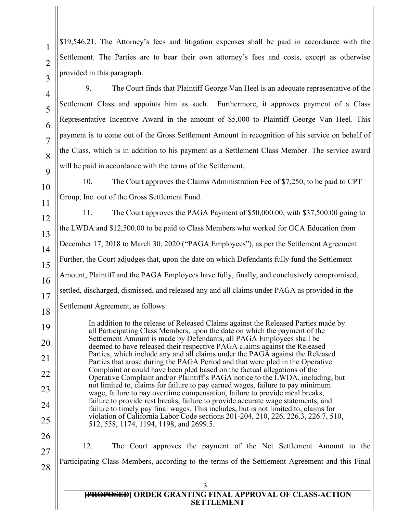\$19,546.21. The Attorney's fees and litigation expenses shall be paid in accordance with the Settlement. The Parties are to bear their own attorney's fees and costs, except as otherwise provided in this paragraph.

9. The Court finds that Plaintiff George Van Heel is an adequate representative of the Settlement Class and appoints him as such. Furthermore, it approves payment of a Class Representative Incentive Award in the amount of \$5,000 to Plaintiff George Van Heel. This payment is to come out of the Gross Settlement Amount in recognition of his service on behalf of the Class, which is in addition to his payment as a Settlement Class Member. The service award will be paid in accordance with the terms of the Settlement.

10. The Court approves the Claims Administration Fee of \$7,250, to be paid to CPT Group, Inc. out of the Gross Settlement Fund.

11. The Court approves the PAGA Payment of \$50,000.00, with \$37,500.00 going to

the LWDA and \$12,500.00 to be paid to Class Members who worked for GCA Education from December 17, 2018 to March 30, 2020 ("PAGA Employees"), as per the Settlement Agreement. Further, the Court adjudges that, upon the date on which Defendants fully fund the Settlement Amount, Plaintiff and the PAGA Employees have fully, finally, and conclusively compromised, settled, discharged, dismissed, and released any and all claims under PAGA as provided in the Settlement Agreement, as follows:

In addition to the release of Released Claims against the Released Parties made by all Participating Class Members, upon the date on which the payment of the Settlement Amount is made by Defendants, all PAGA Employees shall be deemed to have released their respective PAGA claims against the Released Parties, which include any and all claims under the PAGA against the Released Parties that arose during the PAGA Period and that were pled in the Operative Complaint or could have been pled based on the factual allegations of the Operative Complaint and/or Plaintiff's PAGA notice to the LWDA, including, but not limited to, claims for failure to pay earned wages, failure to pay minimum wage, failure to pay overtime compensation, failure to provide meal breaks, failure to provide rest breaks, failure to provide accurate wage statements, and failure to timely pay final wages. This includes, but is not limited to, claims for violation of California Labor Code sections 201-204, 210, 226, 226.3, 226.7, 510, 512, 558, 1174, 1194, 1198, and 2699.5.

12. The Court approves the payment of the Net Settlement Amount to the Participating Class Members, according to the terms of the Settlement Agreement and this Final

## **[PROPOSED] ORDER GRANTING FINAL APPROVAL OF CLASS-ACTION SETTLEMENT**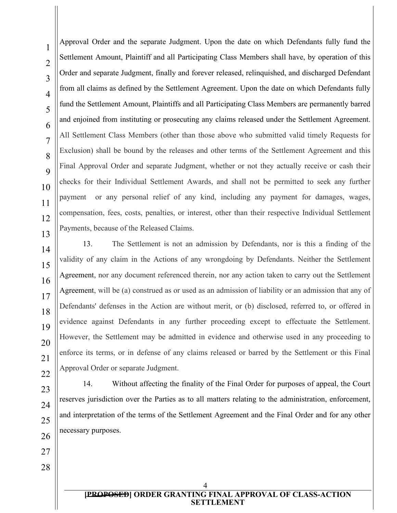Approval Order and the separate Judgment. Upon the date on which Defendants fully fund the Settlement Amount, Plaintiff and all Participating Class Members shall have, by operation of this Order and separate Judgment, finally and forever released, relinquished, and discharged Defendant from all claims as defined by the Settlement Agreement. Upon the date on which Defendants fully fund the Settlement Amount, Plaintiffs and all Participating Class Members are permanently barred and enjoined from instituting or prosecuting any claims released under the Settlement Agreement. All Settlement Class Members (other than those above who submitted valid timely Requests for Exclusion) shall be bound by the releases and other terms of the Settlement Agreement and this Final Approval Order and separate Judgment, whether or not they actually receive or cash their checks for their Individual Settlement Awards, and shall not be permitted to seek any further payment or any personal relief of any kind, including any payment for damages, wages, compensation, fees, costs, penalties, or interest, other than their respective Individual Settlement Payments, because of the Released Claims.

1

2

3

4

5

6

7

8

 $\mathbf Q$ 

10

11

12

13

23

24

25

26

27

28

14 15 16 17 18 19 20 21 22 13. The Settlement is not an admission by Defendants, nor is this a finding of the validity of any claim in the Actions of any wrongdoing by Defendants. Neither the Settlement Agreement, nor any document referenced therein, nor any action taken to carry out the Settlement Agreement, will be (a) construed as or used as an admission of liability or an admission that any of Defendants' defenses in the Action are without merit, or (b) disclosed, referred to, or offered in evidence against Defendants in any further proceeding except to effectuate the Settlement. However, the Settlement may be admitted in evidence and otherwise used in any proceeding to enforce its terms, or in defense of any claims released or barred by the Settlement or this Final Approval Order or separate Judgment.

14. Without affecting the finality of the Final Order for purposes of appeal, the Court reserves jurisdiction over the Parties as to all matters relating to the administration, enforcement, and interpretation of the terms of the Settlement Agreement and the Final Order and for any other necessary purposes.

> 4 **[PROPOSED] ORDER GRANTING FINAL APPROVAL OF CLASS-ACTION SETTLEMENT**